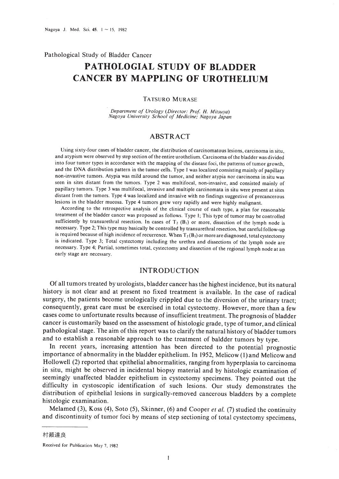Pathological Study of Bladder Cancer

# **PATHOLOGIAL STUDY OF BLADDER CANCER BY MAPPLING OF UROTHELIUM**

#### TATSURO MURASE

*Department of Urology (Director: Prof* H. *Mitsuya) Nagoya University School of Medicine; Nagoya Japan*

# ABSTRACT

Using sixty-four cases of bladder cancer, the distribution of carcinomatous lesions, carcinoma in situ, and atypism were observed by step section of the entire urothelium. Carcinoma of the bladder was divided into four tumor types in accordance with the mapping of the disease foci, the patterns of tumor growth, and the DNA distribution pattern in the tumor cells. Type I was localized consisting mainly of papillary non-invastive tumors. Atypia was mild around the tumor, and neither atypia nor carcinoma in situ was seen in sites distant from the tumors. Type 2 was multifocal, non-invasive, and consisted mainly of papillary tumors. Type 3 was multifocal, invasive and multiple carcinomata in situ were present at sites distant from the tumors. Type 4 was localized and invasive with no findings suggestive of precancerous lesions in the bladder mucosa. Type 4 tumors grew very rapidly and were highly malignant.

According to the retrospective analysis of the clinical course of each type, a plan for reasonable treatment of the bladder cancer was proposed as follows. Type I; This type of tumor may be controlled sufficiently by transurethral resection. In cases of  $T_2$  (B<sub>1</sub>) or more, dissection of the lymph node is necessary. Type 2; This type may basically be controlled by transurethral resection, but careful follow-up is required because of high incidence of recurrence. When  $T_2(B_1)$  or more are diagnosed, total cystectomy is indicated. Type 3; Total cystectomy including the urethra and dissections of the lymph node are necessary. Type 4; Partial. sometimes total, cystectomy and dissection of the regional lymph node at an early stage are necessary.

## INTRODUCTION

Of all tumors treated by urologists, bladder cancer has the highest incidence, but its natural history is not clear and at present no fixed treatment is available. In the case of radical surgery, the patients become urologically crippled due to the diversion of the urinary tract; consequently, great care must be exercised in total cystectomy. However, more than a few cases come to unfortunate results because of insufficient treatment. The prognosis of bladder cancer is customarily based on the assessment of histologic grade, type of tumor, and clinical pathological stage. The aim of this report was to clarify the natural history of bladder tumors and to establish a reasonable approach to the treatment of baldder tumors by type.

In recent years, increasing attention has been directed to the potential prognostic importance of abnormality in the bladder epithelium. In 1952, Melicow (I) and Melicowand Hollowell (2) reported that epithelial abnormalities, ranging from hyperplasia to carcinoma in situ, might be observed in incidental biopsy material and by histologic examination of seemingly unaffected bladder epithelium in cystectomy specimens. They pointed out the difficulty in cystoscopic identification of such lesions. Our study demonstrates the distribution of epithelial lesions in surgically-removed cancerous bladders by a complete histologic examination.

Melamed (3), Koss (4), Soto (5), Skinner, (6) and Cooper *et al.* (7) studied the continuity and discontinuity of tumor foci by means of step sectioning of total cystectomy specimens,

村瀬達良

Received for Publication May 7. 1982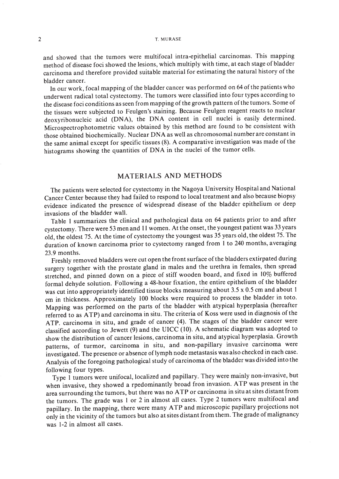and showed that the tumors were multifocal intra-epithelial carcinomas. This mapping method of disease foci showed the lesions, which multiply with time, at each stage of bladder carcinoma and therefore provided suitable material for estimating the natural history of the bladder cancer.

In our work, focal mapping of the bladder cancer was performed on 64 ofthe patients who underwent radical total cystectomy. The tumors were classified into four types according to the disease foci conditions as seen from mapping of the growth pattern of the tumors. Some of the tissues were subjected to Feulgen's staining. Because Feulgen reagent reacts to nuclear deoxyribonucleic acid (DNA), the DNA content in cell nuclei is easily determined. Microspectrophotometric values obtained by this method are found to be consistent with those obtained biochemically. Nuclear DNA as well as chromosomal number are constant in the same animal except for specific tissues (8). A comparative investigation was made of the histograms showing the quantities of DNA in the nuclei of the tumor cells.

# MATERIALS AND METHODS

The patients were selected for cystectomy in the Nagoya University Hospital and National Cancer Center because they had failed to respond to local treatment and also because biopsy evidence indicated the presence of widespread disease of the bladder epithelium or deep invasions of the bladder wall.

Table I summarizes the clinical and pathological data on 64 patients prior to and after cystectomy. There were 53 men and 11 women. At the onset, the youngest patient was 33 years old, the oldest 75. At the time of cystectomy the youngest was 35 years old, the oldest 75. The duration of known carcinoma prior to cystectomy ranged from I to 240 months, averaging 23.9 months.

Freshly removed bladders were cut open the front surface of the bladders extirpated during surgery together with the prostate gland in males and the urethra in females, then spread stretched, and pinned down on a piece of stiff wooden board, and fixed in 10% buffered formal dehyde solution. Following a 48-hour fixation, the entire epithelium of the bladder was cut into appropriately identified tissue blocks measuring about 3.5 x 0.5 em and about I em in thickness. Approximately 100 blocks were required to process the bladder in toto. Mapping was performed on the parts of the bladder with atypical hyperplasia (hereafter referred to as ATP) and carcinoma in situ. The criteria of Koss were used in diagnosis of the ATP. carcinoma in situ, and grade of cancer (4). The stages of the bladder cancer were classified according to Jewett (9) and the UICC (10). A schematic diagram was adopted to show the distribution of cancer lesions, carcinoma in situ, and atypical hyperplasia. Growth patterns, of turmor, carcinoma in situ, and non-papillary invasive carcinoma were investigated. The presence or absence of lymph node metastasis was also checked in each case. Analysis of the foregoing pathological study of carcinoma of the bladder was divided into the following four types.

Type I tumors were unifocal, localized and papillary. They were mainly non-invasive, but when invasive, they showed a rpedominantly broad fron invasion. ATP was present in the area surrounding the tumors, but there was no ATP or carcinoma in situ at sites distant from the tumors. The grade was I or 2 in almost all cases. Type 2 tumors were multifocal and papillary. In the mapping, there were many ATP and microscopic papillary projections not only in the vicinity of the tumors but also at sites distant from them. The grade of malignancy was 1-2 in almost all cases.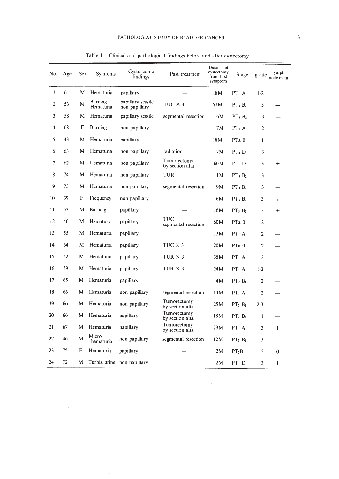$\bar{\tau}$ 

| No.            | Age | Sex | Symtoms              | Cystoscopic<br>findings            | Past treatment                 | Duration of<br>cystectomy<br>from first<br>symptom | Stage             | grade          | lymph<br>node meta |
|----------------|-----|-----|----------------------|------------------------------------|--------------------------------|----------------------------------------------------|-------------------|----------------|--------------------|
| $\mathbf{1}$   | 61  | M   | Hematuria            | papillary                          |                                | 18M                                                | PT <sub>1</sub> A | $1 - 2$        |                    |
| $\overline{2}$ | 53  | M   | Burning<br>Hematuria | papillary sessile<br>non papillary | $TUC \times 4$                 | 51M                                                | $PT_1 B_2$        | 3              |                    |
| 3              | 58  | M   | Hematuria            | papillary sessile                  | segmental resection            | 6M                                                 | $PT_3 B_2$        | 3              |                    |
| 4              | 68  | F   | Burning              | non papillary                      |                                | 7M                                                 | PT <sub>1</sub> A | $\overline{2}$ |                    |
| 5              | 43  | M   | Hematuria            | papillary                          |                                | 18M                                                | PTa <sub>0</sub>  | $\mathbf{I}$   |                    |
| 6              | 63  | М   | Hematuria            | non papillary                      | radiation                      | 7M                                                 | PT <sub>4</sub> D | 3              | $^{+}$             |
| 7              | 62  | М   | Hematuria            | non papillary                      | Tumorectomy<br>by section alta | 60M                                                | PT D              | 3              | $\mathrm{+}$       |
| 8              | 74  | M   | Hematuria            | non papillary                      | TUR                            | 1M                                                 | $PT_3 B_2$        | 3              |                    |
| 9              | 73  | М   | Hematuria            | non papillary                      | segmental resection            | 19 <sub>M</sub>                                    | $PT_3 B_2$        | 3              |                    |
| 10             | 39  | F   | Frequency            | non papillary                      |                                | 16M                                                | $PT_3 B_2$        | 3              | $^{+}$             |
| 11             | 57  | М   | Burning              | papillary                          |                                | 16M                                                | $PT_3 B_2$        | 3              | $^+$               |
| 12             | 46  | M   | Hematuria            | papillary                          | TUC<br>segmental resection     | 60M                                                | PTa <sub>0</sub>  | $\overline{2}$ |                    |
| 13             | 55  | M   | Hematuria            | papillary                          |                                | 13M                                                | PT <sub>1</sub> A | $\overline{2}$ |                    |
| 14             | 64  | M   | Hematuria            | papillary                          | TUC $\times$ 3                 | 20M                                                | PTa <sub>0</sub>  | $\overline{2}$ |                    |
| 15             | 52  | M   | Hematuria            | papillary                          | TUR $\times$ 3                 | 35M                                                | PT <sub>1</sub> A | $\overline{2}$ |                    |
| 16             | 59  | M   | Hematuria            | papillary                          | TUR $\times$ 3                 | 24M                                                | PT <sub>1</sub> A | $1 - 2$        |                    |
| 17             | 65  | М   | Hematuria            | papillary                          |                                | 4M                                                 | $PT_2 B_1$        | $\overline{2}$ |                    |
| 18             | 66  | M   | Hematuria            | non papillary                      | segmental resection            | 13M                                                | PT <sub>1</sub> A | $\overline{c}$ |                    |
| 19             | 66  | M   | Hematuria            | non papillary                      | Tumorectomy<br>by section alta | 25 M                                               | $PT_3 B_2$        | $2 - 3$        |                    |
| 20             | 66  | M   | Hematuria            | papillary                          | Tumorectomy<br>by section alta | 18M                                                | $PT_2 B_1$        | $\mathbf{I}$   |                    |
| 21             | 67  | M   | Hematuria            | papillary                          | Tumorectomy<br>by section alta | 29 M                                               | PT <sub>1</sub> A | 3              | $\mathrm{+}$       |
| 22             | 46  | M   | Micro<br>hematuria   | non papillary                      | segmental resection            | 12M                                                | $PT_3 B_2$        | 3              |                    |
| 23             | 75  | F   | Hematuria            | papillary                          |                                | 2M                                                 | $PT_2B_1$         | $\overline{2}$ | $\bf{0}$           |
| 24             | 72  | M   |                      | Turbia urine non papillary         |                                | 2M                                                 | PT <sub>3</sub> D | 3              | $^{+}$             |

 $\bar{\mathbf{z}}$ 

 $\sim$ 

Table I. Clinical and pathological findings before and after cystectomy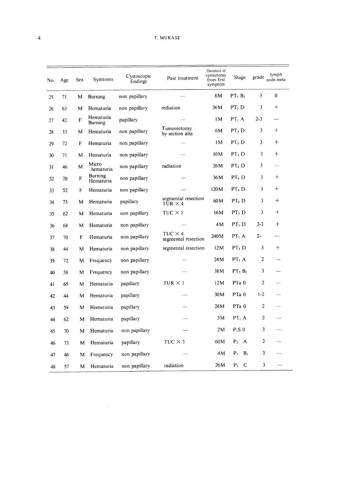| No. | Age | <b>Sex</b>  | Symtoms                     | Cystoscopic<br>findings | Past treatment                        | Duration of<br>cystectomy<br>from first<br>symptom | <b>Stage</b>                     | grade          | lymph<br>node meta |
|-----|-----|-------------|-----------------------------|-------------------------|---------------------------------------|----------------------------------------------------|----------------------------------|----------------|--------------------|
| 25  | 71  | М           | <b>Burning</b>              | non papillary           |                                       | 8 M                                                | $PT_3 B_2$                       | 3              | $\mathbf{0}$       |
| 26  | 63  | M           | Hematuria                   | non papillary           | rediation                             | 36M                                                | PT, D                            | 3              | $^{+}$             |
| 27  | 42  | F           | Hematuria<br><b>Burning</b> | papillary               |                                       | 1 M                                                | PT <sub>1</sub> A                | $2 - 3$        |                    |
| 28  | 33  | м           | Hematuria                   | non papillary           | Tumorectomy<br>by section alta        | 6M                                                 | PT <sub>3</sub> D                | 3              | $^{+}$             |
| 29  | 72  | F           | Hematuria                   | non papillary           |                                       | 1M                                                 | PT <sub>3</sub> D                | 3              | $^{+}$             |
| 30  | 71  | M           | Hematuria                   | non papillary           |                                       | 10M                                                | PT <sub>3</sub> D                | 3              | $^{+}$             |
| 31  | 46  | M           | Micro<br>hematuria          | non papillary           | radiation                             | 26M                                                | PT <sub>4</sub> D                | 3              |                    |
| 32  | 70  | F           | Burning<br>Hematuria        | non papillary           |                                       | 36M                                                | PT <sub>4</sub> D                | 3              | $^{+}$             |
| 33  | 52  | $\mathbf F$ | Hematuria                   | non papillary           |                                       | 120M                                               | PT <sub>4</sub> D                | 3              | $+$                |
| 34  | 75  | M           | Hematuria                   | papillary               | segmental resection<br>TUR $\times$ 4 | 60M                                                | PT <sub>4</sub> D                | 3              | $\ddot{}$          |
| 35  | 62  | M           | Hematuria                   | non papillary           | $TUC \times 1$                        | 16M                                                | PT <sub>3</sub> D                | 3              | $^{+}$             |
| 36  | 68  | M           | Hematuria                   | non papillary           |                                       | 4M                                                 | PT <sub>3</sub> D                | $2 - 3$        | $+$                |
| 37  | 70  | F           | Hematuria                   | non papillary           | $TUC \times 4$<br>segmental resection | 240M                                               | $PT_1 A$                         | $2 -$          |                    |
| 38  | 44  | M           | Hematuria                   | non papillary           | segmental resection                   | 12M                                                | PT <sub>3</sub> D                | 3              | $^{+}$             |
| 39  | 72  | М           | Frequency                   | non papillary           |                                       | 24M                                                | PT <sub>1</sub> A                | $\overline{c}$ |                    |
| 40  | 58  | M           | Frequency                   | non papillary           |                                       | 38M                                                | $PT_3 B_2$                       | 3              |                    |
| 41  | 65  | M           | Hematuria                   | papillary               | $TUR \times I$                        | 12M                                                | PTa 0                            | 2              |                    |
| 42  | 44  | M           | Hematuria                   | papillary               |                                       | 30 <sub>M</sub>                                    | PTa <sub>0</sub>                 | $1 - 2$        |                    |
| 43  | 59  | M           | Hematuria                   | papillary               |                                       | 24 M                                               | PTa <sub>0</sub>                 | $\overline{2}$ |                    |
| 44  | 62  | M           | Hematuria                   | papillary               |                                       | 3M                                                 | $PT_1 A$                         | 2              |                    |
| 45  | 70  | M           | Hematuria                   | non papillary           |                                       | 2M                                                 | $P_i S_0$                        | 3              |                    |
| 46  | 73  | M           | Hematuria                   | papillary               | TUC $\times$ 3                        | 60M                                                | $P_1$ A                          | $\overline{c}$ |                    |
| 47  | 46  | M           | Frequency                   | non papillary           |                                       | 4M                                                 | P <sub>1</sub><br>B <sub>1</sub> | 3              |                    |
| 48  | 57  | M           | Hematuria                   | non papillary           | radiation                             | 26M                                                | $\mathbf C$<br>$P_3$             | 3              |                    |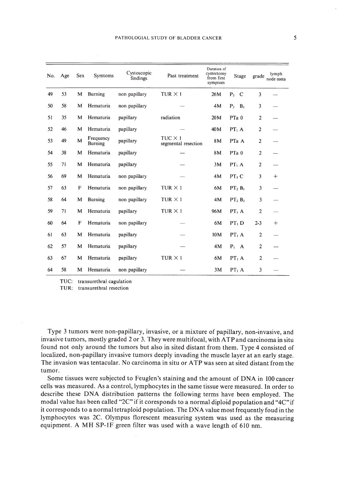| No. | Age | <b>Sex</b> | Symtoms                     | Cystoscopic<br>findings | Past treatment                        | Duration of<br>cystectomy<br>from first<br>symptom | Stage                            | grade          | lymph<br>node meta |
|-----|-----|------------|-----------------------------|-------------------------|---------------------------------------|----------------------------------------------------|----------------------------------|----------------|--------------------|
| 49  | 53  | M          | <b>Burning</b>              | non papillary           | TUR $\times$ 1                        | 26M                                                | $P_3$ C                          | 3              |                    |
| 50  | 58  | M          | Hematuria                   | non papillary           |                                       | 4M                                                 | P <sub>2</sub><br>B <sub>1</sub> | 3              |                    |
| 51  | 35  | M          | Hematuria                   | papillary               | radiation                             | 20M                                                | PTa <sub>0</sub>                 | $\overline{c}$ |                    |
| 52  | 46  | M          | Hematuria                   | papillary               |                                       | 40M                                                | PT <sub>1</sub> A                | $\overline{2}$ |                    |
| 53  | 49  | M          | Frequency<br><b>Burning</b> | papillary               | $TUC \times 1$<br>segmental resection | 8M                                                 | PTa A                            | $\overline{2}$ |                    |
| 54  | 38  | M          | Hematuria                   | papillary               |                                       | 8M                                                 | PTa <sub>0</sub>                 | $\overline{2}$ |                    |
| 55  | 71  | M          | Hematuria                   | papillary               |                                       | 3M                                                 | PT <sub>1</sub> A                | $\overline{c}$ |                    |
| 56  | 69  | M          | Hematuria                   | non papillary           |                                       | 4M                                                 | PT <sub>3</sub> C                | 3              | $^{+}$             |
| 57  | 63  | F          | Hematuria                   | non papillary           | TUR $\times$ 1                        | 6M                                                 | PT <sub>2</sub> B <sub>1</sub>   | 3              |                    |
| 58  | 64  | M          | Burning                     | non papillary           | $TUR \times 1$                        | 4M                                                 | $PT_2 B_1$                       | 3              |                    |
| 59  | 71  | M          | Hematuria                   | papillary               | $TUR \times 1$                        | 96M                                                | PT <sub>1</sub> A                | $\overline{2}$ |                    |
| 60  | 64  | F          | Hematuria                   | non papillary           |                                       | 6M                                                 | PT <sub>3</sub> D                | $2 - 3$        | $^{+}$             |
| 61  | 63  | M          | Hematuria                   | papillary               |                                       | 10 <sub>M</sub>                                    | $PT_1 A$                         | $\overline{2}$ |                    |
| 62  | 57  | M          | Hematuria                   | papillary               |                                       | 4M                                                 | $P_1$ A                          | $\overline{2}$ |                    |
| 63  | 67  | M          | Hematuria                   | papillary               | $TUR \times 1$                        | 6M                                                 | PT <sub>1</sub> A                | $\overline{2}$ |                    |
| 64  | 58  | M          | Hematuria                   | non papillary           |                                       | 3M                                                 | PT <sub>1</sub> A                | 3              |                    |

TUC: transurethral cagulation

TUR: transurethral resection

Type 3 tumors were non-papillary, invasive, or a mixture of papillary, non-invasive, and invasive tumors, mostly graded 2 or 3. They were multifocal, with ATP and carcinoma in situ found not only around the tumors but also in sited distant from them. Type 4 consisted of localized, non-papillary invasive tumors deeply invading the muscle layer at an early stage. The invasion was tentacular. No carcinoma in situ or ATP was seen at sited distant from the tumor.

Some tissues were subjected to Feuglen's staining and the amount of DNA in 100 cancer cells was measured. As a control, lymphocytes in the same tissue were measured. In order to describe these DNA distribution patterns the following terms have been employed. The modal value has been called "2C" if it coresponds to a normal diploid population and "4C" if it corresponds to a normal tetraploid population. The DNA value most frequently foud in the lymphocytes was 2C. Olympus florescent measuring system was used as the measuring equipment. A MH SP-lF green filter was used with a wave length of 610 nm.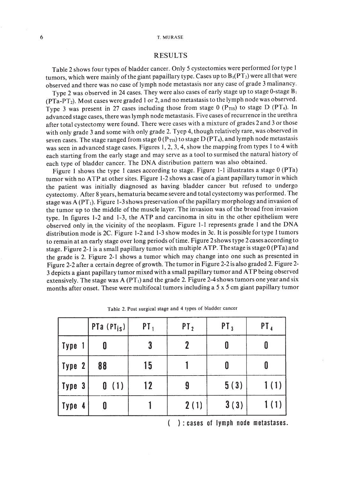## RESULTS

Table 2 shows four types of bladder cancer. Only 5 cystectomies were performed for type I tumors, which were mainly of the giant papaillary type. Cases up to  $B_1(PT_2)$  were all that were observed and there was no case of lymph node metastasis nor any case of grade 3 malinancy.

Type 2 was observed in 24 cases. They were also cases of early stage up to stage 0-stage  $B_1$ (PTa-PT2). Most cases were graded I or 2, and no metastasis to the lymph node was observed. Type 3 was present in 27 cases including those from stage  $0$  (P<sub>TIS</sub>) to stage D (PT<sub>4</sub>). In advanced stage cases, there was lymph node metastasis. Five cases of recurrence in the urethra after total cystectomy were found. There were cases with a mixture of grades 2 and 3 or those with only grade 3 and some with only grade 2. Tyep 4, though relatively rare, was observed in seven cases. The stage ranged from stage  $0(P_{TIS})$  to stage  $D(PT_4)$ , and lymph node metastasis was seen in advanced stage cases. Figures I, 2, 3, 4, show the mapping from types 1to 4 with each starting from the early stage and may serve as a tool to surmised the natural history of each type of bladder cancer. The DNA distribution pattern was also obtained.

Figure 1 shows the type 1 cases according to stage. Figure 1-1 illustrates a stage 0 (PTa) tumor with no ATP at other sites. Figure 1-2 shows a case of a giant papillary tumor in which the patient was initially diagnosed as having bladder cancer but refused to undergo cystectomy. After 8 years, hematuria became severe and total cystectomy was performed. The stage was  $A (PT_1)$ . Figure 1-3 shows preservation of the papillary morphology and invasion of the tumor up to the middle of the muscle layer. The invasion was of the broad fron invasion type. In figures 1-2 and 1-3, the ATP and carcinoma in situ in the other epithelium were observed only in the vicinity of the neoplasm. Figure 1-1 represents grade 1 and the DNA distribution mode is 2C. Figure 1-2 and 1-3 show modes in 3c. It is possible for type I tumors to remain at an early stage over long periods oftime. Figure 2shows type 2 cases according to stage. Figure 2-1 is a small papillary tumor with multiple ATP. The stage is stage  $0$  (PTa) and the grade is 2. Figure 2-1 shows a tumor which may change into one such as presented in Figure 2-2 after a certain degree of growth. The tumor in Figure 2-2 is also graded 2. Figure 2-3 depicts a giant papillary tumor mixed with a small papillary tumor and ATP being observed extensively. The stage was  $A (PT<sub>1</sub>)$  and the grade 2. Figure 2-4 shows tumors one year and six months after onset. These were multifocal tumors including a 5 x 5 cm giant papillary tumor

|      |                  | PTa $(PI_{1S})$ | $PT_1$ | PT <sub>2</sub> | PT <sub>3</sub> | PT <sub>4</sub> |
|------|------------------|-----------------|--------|-----------------|-----------------|-----------------|
| Type |                  | 0               | 3      | $\mathbf 2$     | 0               | 0               |
| Type | $\boldsymbol{2}$ | 88              | 15     |                 | 0               | 0               |
| Type | $\boldsymbol{3}$ | 0<br>(1)        | 12     | 9               | 5(3)            |                 |
| Type | 4                | 0               |        | 2(1)            | 3(3)            |                 |

Table 2. Post surgical stage and 4 types of bladder cancer

) : cases of lymph node metastases.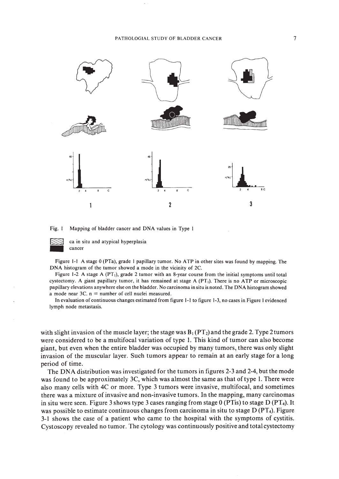

Fig. I Mapping of bladder cancer and DNA values in Type I



ca in situ and atypical hyperplasia \_ cancer

Figure I-I A stage 0 (PTa), grade I papillary tumor. No ATP in other sites was found by mapping. The DNA histogram of the tumor showed a mode in the vicinity of 2C.

Figure 1-2 A stage A (PT,), grade 2 tumor with an 8-year course from the initial symptoms until total cystectomy. A giant papillary tumor, it has remained at stage A (PT,). There is no ATP or microscopic papillary elevations anywhere else on the bladder. No carcinoma in situ is noted. The DNA histogram showed a mode near  $3C$ .  $n =$  number of cell nuclei measured.

In evaluation of continuous changes estimated from figure I-I to figure 1-3, no cases in Figure I evidenced lymph node metastasis.

with slight invasion of the muscle layer; the stage was  $B_1(PT_2)$  and the grade 2. Type 2 tumors were considered to be a multifocal variation of type I. This kind of tumor can also become giant, but even when the entire bladder was occupied by many tumors, there was only slight invasion of the muscular layer. Such tumors appear to remain at an early stage for a long period of time.

The DNA distribution was investigated for the tumors in figures 2-3 and 2-4, but the mode was found to be approximately 3C, which was almost the same as that of type I. There were also many cells with 4C or more. Type 3 tumors were invasive, multifocal, and sometimes there was a mixture of invasive and non-invasive tumors. In the mapping, many carcinomas in situ were seen. Figure 3 shows type 3 cases ranging from stage 0 (PTis) to stage D (PT4). It was possible to estimate continuous changes from carcinoma in situ to stage D (PT<sub>4</sub>). Figure 3-1 shows the case of a patient who came to the hospital with the symptoms of cystitis. Cystoscopy revealed no tumor. The cytology was continuously positive and total cystectomy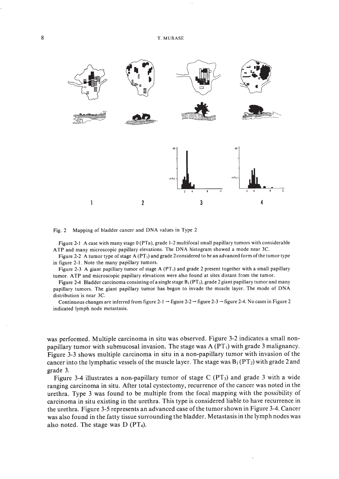



Figure 2-1 A case with many stage 0 (PTa), grade 1-2 multifocal small papillary tumors with considerable ATP and many microscopic papillary elevations. The DNA histogram showed a mode near 3C.

Figure 2-2 A tumor type of stage A (PT<sub>1</sub>) and grade 2 considered to be an advanced form of the tumor type in figure 2-1. Note the many papillary tumors.

Figure 2-3 A giant papillary tumor of stage A (PT,) and grade 2 present together with a small papillary tumor. ATP and microscopic papillary elevations were also found at sites distant from the tumor.

Figure 2-4 Bladder carcinoma consisting of a single stage  $B_1(PT_2)$ , grade 2 giant papillary tumor and many papillary tumors. The giant papillary tumor has begun to invade the muscle layer. The mode of DNA distribution is near 3C.

Continuous changes are inferred from figure 2-1  $\rightarrow$  figure 2-2  $\rightarrow$  figure 2-3  $\rightarrow$  figure 2-4. No cases in Figure 2 indicated lymph node metastasis.

was performed. Multiple carcinoma in situ was observed. Figure 3-2 indicates a small nonpapillary tumor with submucosal invasion. The stage was  $A (PT<sub>1</sub>)$  with grade 3 malignancy. Figure 3-3 shows multiple carcinoma in situ in a non-papillary tumor with invasion of the cancer into the lymphatic vessels of the muscle layer. The stage was  $B_1(PT_2)$  with grade 2 and grade 3.

Figure 3-4 illustrates a non-papillary tumor of stage C  $(PT_3)$  and grade 3 with a wide ranging carcinoma in situ. After total cystectomy, recurrence of the cancer was noted in the urethra. Type 3 was found to be multiple from the focal mapping with the possibility of carcinoma in situ existing in the urethra. This type is considered liable to have recurrence in the urethra. Figure 3-5 represents an advanced case ofthe tumor shown in Figure 3-4. Cancer was also found in the fatty tissue surrounding the bladder. Metastasis in the lymph nodes was also noted. The stage was D (PT4).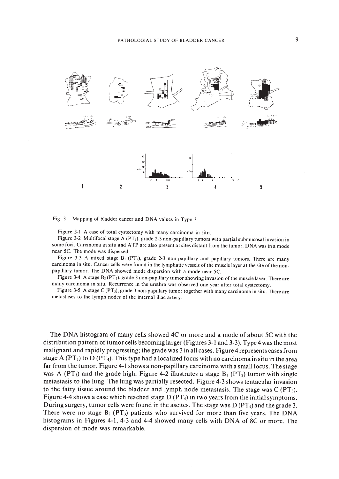

Fig. 3 Mapping of bladder cancer and DNA values in Type 3

Figure 3-1 A case of total cystectomy with many carcinoma in situ.

Figure 3-2 Multifocal stage A (PT,), grade 2-3 non-papillary tumors with partial submucosal invasion in some foci. Carcinoma in situ and ATP are also present at sites distant from the tumor. DNA was in a mode near Sc. The mode was dispersed.

Figure 3-3 A mixed stage  $B_1$  (PT<sub>2</sub>), grade 2-3 non-papillary and papillary tumors. There are many carcinoma in situ. Cancer cells were found in the lymphatic vessels of the muscle layer at the site of the nonpapillary tumor. The DNA showed mode dispersion with a mode near 5C.

Figure 3-4 A stage  $B_2(PT_3)$ , grade 3 non-papillary tumor showing invasion of the muscle layer. There are many carcinoma in situ. Recurrence in the urethra was observed one year after total cystectomy.

Figure 3-5 A stage C (PT<sub>3</sub>), grade 3 non-papillary tumor together with many carcinoma in situ. There are metastases to the lymph nodes of the internal iliac artery.

The DNA histogram of many cells showed 4C or more and a mode of about 5C with the distribution pattern of tumor cells becoming larger (Figures 3-1 and 3-3). Type 4 was the most malignant and rapidly progressing; the grade was 3 in all cases. Figure 4 represents cases from stage A (PT<sub>1</sub>) to D (PT<sub>4</sub>). This type had a localized focus with no carcinoma in situ in the area far from the tumor. Figure 4-1 shows a non-papillary carcinoma with a small focus. The stage was A (PT<sub>1</sub>) and the grade high. Figure 4-2 illustrates a stage  $B_1$  (PT<sub>2</sub>) tumor with single metastasis to the lung. The lung was partially resected. Figure 4-3 shows tentacular invasion to the fatty tissue around the bladder and lymph node metastasis. The stage was  $C (PT<sub>3</sub>)$ . Figure 4-4 shows a case which reached stage  $D (PT<sub>4</sub>)$  in two years from the initial symptoms. During surgery, tumor cells were found in the ascites. The stage was  $D (PT<sub>4</sub>)$  and the grade 3. There were no stage  $B_2$  (PT<sub>3</sub>) patients who survived for more than five years. The DNA histograms in Figures 4-1, 4-3 and 4-4 showed many cells with DNA of 8C or more. The dispersion of mode was remarkable.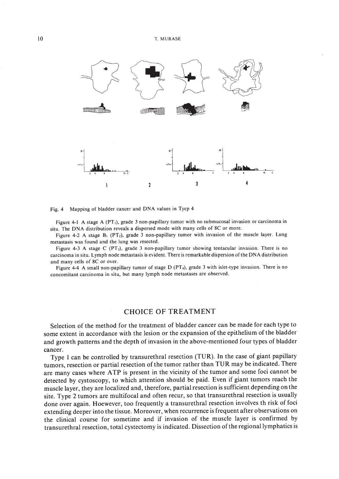

Fig. 4 Mapping of bladder cancer and DNA values in Tyep 4

Figure 4-1 A stage A (PT<sub>1</sub>), grade 3 non-papillary tumor with no submucosal invasion or carcinoma in situ. The DNA distribution reveals a dispersed mode with many cells of 8C or more.

Figure 4-2 A stage  $B_1$  (PT<sub>2</sub>), grade 3 non-papillary tumor with invasion of the muscle layer. Lung metastasis was found and the lung was resected.

Figure 4-3 A stage C (PT<sub>3</sub>), grade 3 non-papillary tumor showing tentacular invasion. There is no carcinoma in situ. Lymph node metastasis is evident. There is remarkable dispersion ofthe DNA distribution and many cells of 8C or over.

Figure 4-4 A small non-papillary tumor of stage D (PT<sub>4</sub>), grade 3 with islet-type invasion. There is no concomitant carcinoma in situ, but many lymph node metastases are observed.

# CHOICE OF TREATMENT

Selection of the method for the treatment of bladder cancer can be made for each type to some extent in accordance with the lesion or the expansion of the epithelium of the bladder and growth patterns and the depth of invasion in the above-mentioned four types of bladder cancer.

Type I can be controlled by transurethral resection (TUR). In the case of giant papillary tumors, resection or partial resection of the tumor rather than TUR may be indicated. There are many cases where ATP is present in the vicinity of the tumor and some foci cannot be detected by cystoscopy, to which attention should be paid. Even if giant tumors reach the muscle layer, they are localized and, therefore, partial resection is sufficient depending on the site. Type 2 tumors are multifocal and often recur, so that transurethral resection is usually done over again. Hoewever, too frequently a transurethral resection involves th risk of foci extending deeper into the tissue. Moreover, when recurrence is frequent after observations on the clinical course for sometime and if invasion of the muscle layer is confirmed by transurethral resection, total cystectomy is indicated. Dissection ofthe regional lymphatics is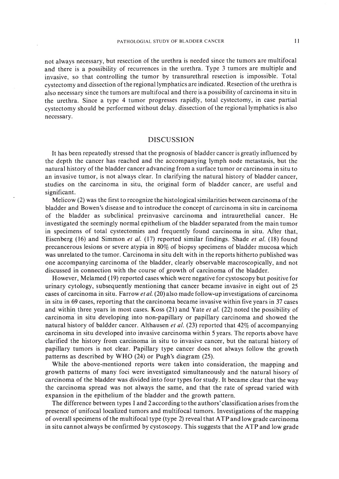not always necessary, but resection of the urethra is needed since the tumors are multifocal and there is a possibility of recurrences in the urethra. Type 3 tumors are multiple and invasive, so that controlling the tumor by transurethral resection is impossible. Total cystectomy and dissection ofthe regional lymphatics are indicated. Resection ofthe urethra is also necessary since the tumors are multifocal and there is a possibility of carcinoma in situ in the urethra. Since a type 4 tumor progresses rapidly, total cystectomy, in case partial cystectomy should be performed without delay. dissection of the regional lymphatics is also necessary.

## DISCUSSION

It has been repeatedly stressed that the prognosis of bladder cancer is greatly influenced by the depth the cancer has reached and the accompanying lymph node metastasis, but the natural history of the bladder cancer advancing from a surface tumor or carcinoma in situ to an invasive tumor, is not always clear. In clarifying the natural history of bladder cancer, studies on the carcinoma in situ, the original form of bladder cancer, are useful and significant.

Melicow (2) was the first to recognize the histological similarities between carcinoma of the bladder and Bowen's disease and to introduce the concept of carcinoma in situ in carcinoma of the bladder as subclinical preinvasive carcinoma and intraurethelial cancer. He investigated the seemingly normal epithelium of the bladder separated from the main tumor in specimens of total cystectomies and frequently found carcinoma in situ. After that, Eisenberg (16) and Simmon *et al.* (17) reported similar findings. Shade *et al.* (18) found precancerous lesions or severe atypia in 80% of biopsy specimens of bladder mucosa which was unrelated to the tumor. Carcinoma in situ delt with in the reports hitherto published was one accompanying carcinoma of the bladder, clearly observable macroscopically, and not discussed in connection with the course of growth of carcinoma of the bladder.

However, Melamed (19) reported cases which were negative for cystoscopy but positive for urinary cytology, subsequently mentioning that cancer became invasive in eight out of 25 cases of carcinoma in situ. Farrow *et al.* (20) also made follow-up investigations of carcinoma in situ in 69 cases, reporting that the carcinoma became invasive within five years in 37 cases and within three years in most cases. Koss (21) and Yate *et al.* (22) noted the possibility of carcinoma' in situ developing into non-papillary or papillary carcinoma and showed the natural history of baldder cancer. Althausen *et al.* (23) reported that 42% of accompanying carcinoma in situ developed into invasive carcinoma within 5 years. The reports above have clarified the history from carcinoma in situ to invasive cancer, but the natural history of papillary tumors is not clear. Papillary type cancer does not always follow the growth patterns as described by WHO (24) or Pugh's diagram (25).

While the above-mentioned reports were taken into consideration, the mapping and growth patterns of many foci were investigated simultaneously and the natural hisory of carcinoma of the bladder was divided into four types for study. It became clear that the way the carcinoma spread was not always the same, and that the rate of spread varied with expansion in the epithelium of the bladder and the growth pattern.

The difference between types I and 2 according to the authors' classification arises from the presence of unifocallocalized tumors and multifocal tumors. Investigations of the mapping of overall specimens of the multifocal type (type 2) reveal that ATP and low grade carcinoma in situ cannot always be confirmed by cystoscopy. This suggests that the ATP and low grade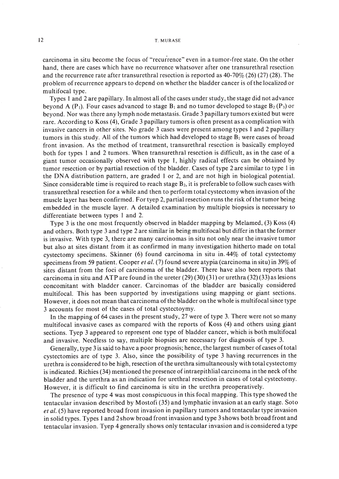carcinoma in situ become the focus of "recurrence" even in a tumor-free state. On the other hand, there are cases which have no recurrence whatsover after one transurethral resection and the recurrence rate after transurethral resection is reported as  $40-70\%$  (26) (27) (28). The problem of recurrence appears to depend on whether the bladder cancer is ofthe localized or multifocal type.

Types 1 and 2 are papillary. In almost all of the cases under study, the stage did not advance beyond A (P<sub>1</sub>). Four cases advanced to stage  $B_1$  and no tumor developed to stage  $B_2(P_3)$  or beyond. Nor was there any lymph node metastasis. Grade 3 papillary tumors existed but were rare. According to Koss (4), Grade 3 papillary tumors is often present as a complication with invasive cancers in other sites. No grade 3 cases were present among types I and 2 papillary tumors in this study. All of the tumors which had developed to stage  $B<sub>1</sub>$  were cases of broad front invasion. As the method of treatment, transurethral resection is basically employed both for types I and 2 tumors. When transurethral resection is difficult, as in the case of a giant tumor occasionally observed with type I, highly radical effects can be obtained by tumor resection or by partial resection of the bladder. Cases of type 2 are similar to type I in the ONA distribution pattern, are graded I or 2, and are not high in biological potential. Since considerable time is required to reach stage  $B_2$ , it is preferable to follow such cases with transurethral resection for a while and then to perform total cystectomy when invasion ofthe muscle layer has been confirmed. For tyep 2, partial resection runs the risk ofthe tumor being embedded in the muscle layer. A detailed examination by multiple biopsies is necessary to differentiate between types I and 2.

Type 3 is the one most frequently observed in bladder mapping by Melamed, (3) Koss (4) and others. Both type 3 and type 2 are similar in being multifocal but differ in that the former is invasive. With type 3, there are many carcinomas in situ not only near the invasive tumor but also at sites distant from it as confirmed in many investigation hitherto made on total cystectomy specimens. Skinner (6) found carcinoma in situ in.44% of total cystectomy specimens from 59 patient. Cooper *et al.* (7) found severe atypia (carcinoma in situ) in 39% of sites distant from the foci of carcinoma of the bladder. There have also been reports that carcinoma in situ and ATP are found in the ureter  $(29) (30) (31)$  or urethra  $(32) (33)$  as lesions concomitant with bladder cancer. Carcinomas of the bladder are basically considered multifocal. This has been supported by investigations using mapping or giant sections. However, it does not mean that carcinoma of the bladder on the whole is multifocal since type 3 accounts for most of the cases of total cystectoymy.

In the mapping of 64 cases in the present study, 27 were of type 3. There were not so many multifocal invasive cases as compared with the reports of Koss (4) and others using giant sections. Tyep 3 appeared to represent one type of bladder cancer, which is both multifocal and invasive. Needless to say, multiple biopsies are necessary for diagnosis of type 3.

Generally, type 3 is said to have a poor prognosis; hence, the largest number of cases oftotal cystectomies are of type 3. Also, since the possibility of type 3 having recurrences in the urethra is considered to be high, resection ofthe urethra simultaneously with total cystectomy is indicated. Richies (34) mentioned the presence ofintraepithlial carcinoma in the neck ofthe bladder and the urethra as an indication for urethral resection in cases of total cystectomy. However, it is difficult to find carcinoma is situ in the urethra preoperatively.

The presence of type 4 was most conspicuous in this focal mapping. This type showed the tentacular invasion described by Mostofi (35) and lymphatic invasion at an early stage. Soto *et al.* (5) have reported broad front invasion in papillary tumors and tentacular type invasion in solid types. Types I and 2 show broad front invasion and type 3 shows both broad front and tentacular invasion. Tyep 4 generally shows only tentacular invasion and is considered a type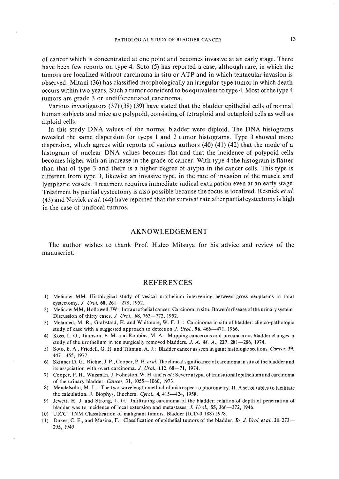of cancer which is concentrated at one point and becomes invasive at an early stage. There have been few reports on type 4. Soto (5) has reported a case, although rare, in which the tumors are localized without carcinoma in situ or ATP and in which tentacular invasion is observed. Mitani (36) has classified morphologically an irregular-type tumor in which death occurs within two years. Such a tumor considerd to be equivalent to type 4. Most of the type 4 tumors are grade 3 or undifferentiated carcinoma.

Various investigators (37) (38) (39) have stated that the bladder epithelial cells of normal human subjects and mice are polypoid, consisting of tetraploid and octaploid cells as well as diploid cells.

In this study DNA values of the normal bladder were diploid. The DNA histograms revealed the same dispersion for tyeps I and 2 tumor histograms. Type 3 showed more dispersion, which agrees with reports of various authors (40) (41) (42) that the mode of a histogram of nuclear DNA values becomes fiat and that the incidence of polypoid cells becomes higher with an increase in the grade of cancer. With type 4 the histogram is flatter than that of type 3 and there is a higher degree of atypia in the cancer cells. This type is different from type 3, likewise an invasive type, in the rate of invasion of the muscle and lymphatic vessels. Treatment requires immediate radical extirpation evenat an early stage. Treatment by partial cystectomy is also possible because the focus is localized. Resnick *et al.* (43) and Novick *et al.* (44) have reported that the survival rate after partial cystectomy is high in the case of unifocal tumros.

#### AKNOWLEDGEMENT

The author wishes to thank Prof. Hideo Mitsuya for his advice and review of the manuscript.

#### REFERENCES

- I) Melicow MM: Histological study of vesical urothelium intervening between gross neoplasms in total cystectomy. *J. Urol*, 68, 261-278, 1952.
- 2) Melicow MM, Hollowell JW: Intraurothelial cancer: Carcinom in situ, Bowen's disease ofthe urinary system: Discussion of thirty cases. *J. Urol.*, 68, 763-772, 1952.
- 3) Melamed, M. R., Grabstald, H. and Whitmore, W. F. Jr.: Carcinoma in situ of bladder: clinico-pathologic study of case with a suggested approach to detection J. *Ural.,* 96,466-471, 1966.
- 4) Koss, L. G., Tiamson, E. M. and Robbins, M. A.: Mapping cancerous and precancerous bladder changes: a study of the urothelium in ten surgically removed bladders. J. A. M. A., 227, 281-286, 1974.
- 5) Soto, E. A., Friedell, G. H. and Tiltman, A. J.: Bladder cancer as seen in giant histologic sections. *Cancer, 39,* 447-455, 1977.
- 6) Skinner D. G., Richie, J. P., Cooper, P. H. *et 01.* The clinical significance of carcinoma in situ ofthe bladder and its association with overt carcinoma. J. *Urol.*, 112, 68-71, 1974.
- 7) Cooper, P. H., Waisman, J. Fohnston, W. H. and el *01.:* Severe atypia oftransitional epithelium and carcinoma of the urinary bladder. *Cancer,* 31, 1055-1060, 1973.
- 8) Mendelsohn, M. L.: The two-wavelength method of microspectro photometry. II. A set of tables to facilitate the calculation. J. Biophys, Biochem. *Cytol.*, 4, 415-424, 1958.
- 9) Jewett, H. J. and Strong, L. G.: Infiltrating carcinoma of the bladder: relation of depth of penetration of bladder was to incidence of local extension and metastases. J. *Ural.,* 55,366-372, 1946.
- 10) VICC: TNM Classification of malignant tumors. Bladder (ICD-o 188) 1978.
- II) Dukes, C. E., and Masina, F.: Classification of epithelial tumors of the bladder. *Br.* J. *Ural,* el *01.,21,273-* 295, 1949.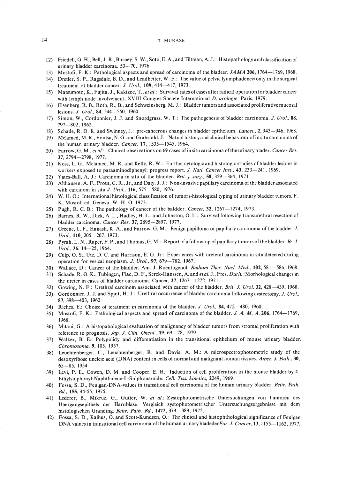- 12) Friedell, G. H., Bell, J. R., Burney, S. W., Soto, E. A.,and Tiltman, A. J.: Histopathologyand classification of urinary bladder carcinoma. 53-70, 1976.
- 13) Mostofi, F. K.: Pathological aspects and spread of carcinoma of the bladeer. *JAMA* 206, 1764-1769, 1968.
- 14) Dretler, S. P., Ragsdale, B. D., and Leadbetter, W. F.: The value of pelvic Iyumphadenectomy in the surgical treatment of bladder cancer. *J. Ural..* 109,414-417, 1973.
- 15) Matsumoto, K., Fujita, J., Kakizoe, T., *et al.:* Survival rates ofcases after radical operation for bladder cancer with lymph node involvement, XVIII Congres Societe International *D. urologie.* Paris, 1979.
- 16) Eisenberg, R. B., Roth, R., B., and Schweinsberg, M. J.: Bladder tumors and associated proliferative mucosal lesions. *J. Ural..* 84, 544-550, 1960.
- 17) Simon, W., Cordonnier, J. J. and Snordgrass, W. T.: The pathogenesis of bladder carcinoma. *J. Ural..* 88, 797-802, 1962.
- 18) Schade, R. O. K. and Swinney, J.: pre-cancerous changes in bladder epithelium. *Lancel..* 2,943-946, 1968.
- 19) Melamed, M. R., Voutsa, N. G. and Grabstald, J.: Natual history and clinical behaviourofin situ carcinoma of the human urinary bladder. *Cancer.* 17, 1535-1545, 1964.
- 20) Farrow, G. M., *el al.:* Clinical observations on 69 cases ofin situ carcinoma of the urinary blader. *Cancer Res.* 37, 2794-2798, 1977.
- 21) Koss, L. G., Melamed, M. R. and Kelly, R. W.: Further cytologic and histologic studies of bladder lesions in workers exposed to paraaminodiphenyl: progress report. *J. NaIl. Cancer Insl.,* 43, 233-241, 1969.
- 22) Yates-Ball, A, J.: Carcinoma in situ of the bladder. *Brit.* j. *surg..* 58, 359-364, 1971
- 23) Althausen, A. F., Prout, G. R., Jr., and Daly. J. J.: Non-invasive papillary carcinoma ofthe bladder associated with carcinom in situ *J. Urol.*, **116**, 575-580, 1976.
- 24) W. H. 0.: International histological classification of tumors-histological typing of urinary bladder tumors. F. K. Mostofi ed. Geneva, W. H. O. 1973.
- 25) Pugh, R. C. B.: The pathology of cancer of the baldder. *Cancer.* 32, 1267-1274, 1973.
- 26) Barnes, R. W., Dick, A. L., Hadley, H. L., and Johnston, O. L.: Survival following transurethral resection of bladder carcinoma. *Cancer Res.* 37, 2895-2897, 1977.
- 27) Greene, L. E, Hanash, K. A., and Farrow, G. M.: Benign papilloma or papillary carcinoma of the bladder. J. *Ural.,* **110,205-207,** 1973.
- 28) Pyrah, L. N., Raper, F. P.,and Thomas, G. M.: Report ofa follow-up of papillary tumors ofthe bladder. *Br.* J. *Ural.,* 36, 14-25, 1964.
- 29) Culp, O. S., Utz, D. C. and Harrison, E. G. Jr.: Experiences with ureteral carcinoma in situ detected during operation for vesical neoplasm. *J. Urol.*, 97, 679-782, 1967.
- 30) Wallace, D.: Cancer of the bladder. Am. J. Roentogenol. *Radium Ther. Nucl. Med.•* 102,581-586,1968.
- 31) Schade, R. O. K., Tubingen, Fiac, D. F., Serck-Hanssen, A. and *et al.* J., Frcs, *Durh.* :Morhological changes in the ureter in cases of bladder carcinoma. Cancer, 27, 1267-1272, 1971.
- 32) Gowing, N. F.: Urethral carcinom associated with cancer of the bladder. *Brit. J. Ural,* 32,428-439, 1960.
- 33) Gordonnier, J. J. and Spjut, H. J.: Urethral occurrence of bladder carcinoma following cystectomy. *J. Urol..* 87, 398-403, 1962
- 34) Riches, E.: Choice of teratment in carcinoma of the bladder. *J. Ural.,* 84,472-480, 1960.
- 35) Mostofi, F. K.: Pathological aspects and spread of carcinoma of the bladder. J. A. M. A. 206, 1764-1769, 1968.
- 36) Mitani, G.: A histopahological evaluation of malignancy of bladder tumors from stromal proliferation with reference to prognosis. *Jap.* J. *Clin. Oneal.,* 19,69-78, 1979.
- 37) Walker, B. E:: Polypolidy and differentiation in the transitional epithelium of mouse urinary bladder. *Chromosoma.* 9, 105, 1957.
- 38) Leuchtenberger, C., Leuchtenberger, R. and Davis, A. M.: A microspectrophotometric study of the desoxyribose uncleic acid (DNA) content in cells of normal and malignant human tissues. *Amer. J. Path.. 30,* 65-85, 1954.
- 39) Levi, P. E., Cowen, D. M. and Cooper, E. H.: Induction of cell proliferation in the mouse bladder by 4- Ethylsulphonyl-Naphthalene-L-Sulphonamide. *Cell. Tiss. kjnetics.* 2249, 1969.
- 40) Fossa, S. D., Feulgan-DNA-values in transitional cell carcinoma of the human urinary bladder. *Beitr. Path. Bd..* 155,44-55, 1975.
- 41) Lederer, B., Mikruz, G., Gutter, W. et al.: Zystophotometrische Untersuchungen von Tumoren des Ubergangsepithels der Harnblase. Vergleich zystophotometrischer Untersuchungsergebnisse mit dem histologischen Granding. *Beitr. Path. Bd.*, 1472, 379-389, 1972.
- 42) Fossa, S. D., Kalhus, O. and Scott-Kundsen, O.: The clinical and histophthological significance of Feulgen DNA values in transitional cell carcinoma of the human urinary bladeder Eur. *J. Cancer*, 13, 1155-1162, 1977.